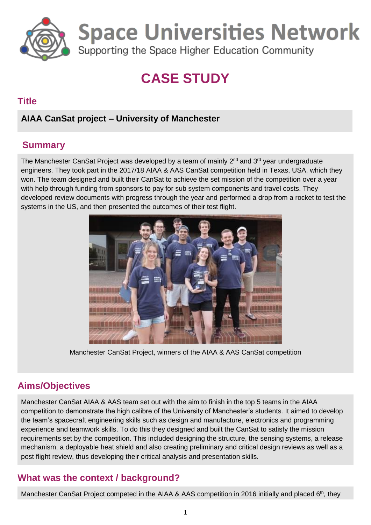

**Space Universities Network** 

Supporting the Space Higher Education Community

# **CASE STUDY**

### **Title**

# **AIAA CanSat project – University of Manchester**

# **Summary**

The Manchester CanSat Project was developed by a team of mainly 2<sup>nd</sup> and 3<sup>rd</sup> year undergraduate engineers. They took part in the 2017/18 AIAA & AAS CanSat competition held in Texas, USA, which they won. The team designed and built their CanSat to achieve the set mission of the competition over a year with help through funding from sponsors to pay for sub system components and travel costs. They developed review documents with progress through the year and performed a drop from a rocket to test the systems in the US, and then presented the outcomes of their test flight.



Manchester CanSat Project, winners of the AIAA & AAS CanSat competition

# **Aims/Objectives**

Manchester CanSat AIAA & AAS team set out with the aim to finish in the top 5 teams in the AIAA competition to demonstrate the high calibre of the University of Manchester's students. It aimed to develop the team's spacecraft engineering skills such as design and manufacture, electronics and programming experience and teamwork skills. To do this they designed and built the CanSat to satisfy the mission requirements set by the competition. This included designing the structure, the sensing systems, a release mechanism, a deployable heat shield and also creating preliminary and critical design reviews as well as a post flight review, thus developing their critical analysis and presentation skills.

# **What was the context / background?**

Manchester CanSat Project competed in the AIAA & AAS competition in 2016 initially and placed 6<sup>th</sup>, they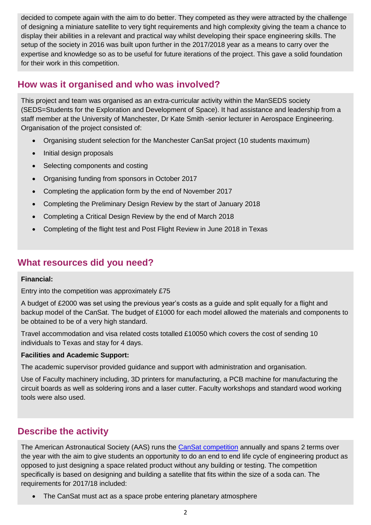decided to compete again with the aim to do better. They competed as they were attracted by the challenge of designing a miniature satellite to very tight requirements and high complexity giving the team a chance to display their abilities in a relevant and practical way whilst developing their space engineering skills. The setup of the society in 2016 was built upon further in the 2017/2018 year as a means to carry over the expertise and knowledge so as to be useful for future iterations of the project. This gave a solid foundation for their work in this competition.

## **How was it organised and who was involved?**

This project and team was organised as an extra-curricular activity within the ManSEDS society (SEDS=Students for the Exploration and Development of Space). It had assistance and leadership from a staff member at the University of Manchester, Dr Kate Smith -senior lecturer in Aerospace Engineering. Organisation of the project consisted of:

- Organising student selection for the Manchester CanSat project (10 students maximum)
- Initial design proposals
- Selecting components and costing
- Organising funding from sponsors in October 2017
- Completing the application form by the end of November 2017
- Completing the Preliminary Design Review by the start of January 2018
- Completing a Critical Design Review by the end of March 2018
- Completing of the flight test and Post Flight Review in June 2018 in Texas

### **What resources did you need?**

#### **Financial:**

Entry into the competition was approximately £75

A budget of £2000 was set using the previous year's costs as a guide and split equally for a flight and backup model of the CanSat. The budget of £1000 for each model allowed the materials and components to be obtained to be of a very high standard.

Travel accommodation and visa related costs totalled £10050 which covers the cost of sending 10 individuals to Texas and stay for 4 days.

#### **Facilities and Academic Support:**

The academic supervisor provided guidance and support with administration and organisation.

Use of Faculty machinery including, 3D printers for manufacturing, a PCB machine for manufacturing the circuit boards as well as soldering irons and a laser cutter. Faculty workshops and standard wood working tools were also used.

## **Describe the activity**

The American Astronautical Society (AAS) runs the [CanSat competition](http://cansatcompetition.com/mission.html) annually and spans 2 terms over the year with the aim to give students an opportunity to do an end to end life cycle of engineering product as opposed to just designing a space related product without any building or testing. The competition specifically is based on designing and building a satellite that fits within the size of a soda can. The requirements for 2017/18 included:

• The CanSat must act as a space probe entering planetary atmosphere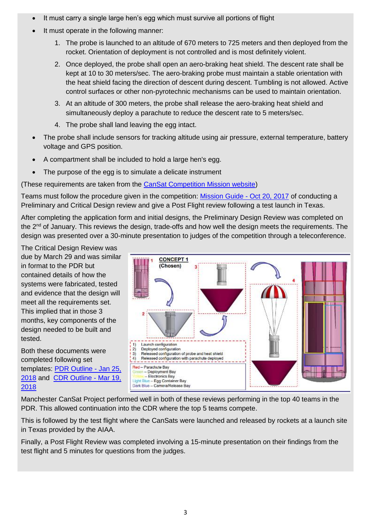- It must carry a single large hen's egg which must survive all portions of flight
- It must operate in the following manner:
	- 1. The probe is launched to an altitude of 670 meters to 725 meters and then deployed from the rocket. Orientation of deployment is not controlled and is most definitely violent.
	- 2. Once deployed, the probe shall open an aero-braking heat shield. The descent rate shall be kept at 10 to 30 meters/sec. The aero-braking probe must maintain a stable orientation with the heat shield facing the direction of descent during descent. Tumbling is not allowed. Active control surfaces or other non-pyrotechnic mechanisms can be used to maintain orientation.
	- 3. At an altitude of 300 meters, the probe shall release the aero-braking heat shield and simultaneously deploy a parachute to reduce the descent rate to 5 meters/sec.
	- 4. The probe shall land leaving the egg intact.
- The probe shall include sensors for tracking altitude using air pressure, external temperature, battery voltage and GPS position.
- A compartment shall be included to hold a large hen's egg.
- The purpose of the egg is to simulate a delicate instrument

(These requirements are taken from the [CanSat Competition Mission website\)](http://cansatcompetition.com/mission.html)

Teams must follow the procedure given in the competition: [Mission Guide -](http://cansatcompetition.com/docs/mission_guide_2018_r20171020_r1.4.pdf) Oct 20, 2017 of conducting a Preliminary and Critical Design review and give a Post Flight review following a test launch in Texas.

After completing the application form and initial designs, the Preliminary Design Review was completed on the 2<sup>nd</sup> of January. This reviews the design, trade-offs and how well the design meets the requirements. The design was presented over a 30-minute presentation to judges of the competition through a teleconference.

The Critical Design Review was due by March 29 and was similar in format to the PDR but contained details of how the systems were fabricated, tested and evidence that the design will meet all the requirements set. This implied that in those 3 months, key components of the design needed to be built and tested.

Both these documents were completed following set templates: [PDR Outline -](http://cansatcompetition.com/docs/Cansat%202018%20PDR%20Outline%20v1.2.pptx) Jan 25, [2018](http://cansatcompetition.com/docs/Cansat%202018%20PDR%20Outline%20v1.2.pptx) and [CDR Outline -](http://cansatcompetition.com/docs/Cansat%202018%20CDR%20Outline%20v1.2.pptx) Mar 19, [2018](http://cansatcompetition.com/docs/Cansat%202018%20CDR%20Outline%20v1.2.pptx)



Manchester CanSat Project performed well in both of these reviews performing in the top 40 teams in the PDR. This allowed continuation into the CDR where the top 5 teams compete.

This is followed by the test flight where the CanSats were launched and released by rockets at a launch site in Texas provided by the AIAA.

Finally, a Post Flight Review was completed involving a 15-minute presentation on their findings from the test flight and 5 minutes for questions from the judges.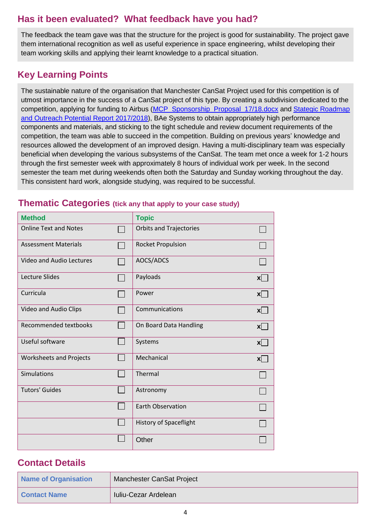# **Has it been evaluated? What feedback have you had?**

The feedback the team gave was that the structure for the project is good for sustainability. The project gave them international recognition as well as useful experience in space engineering, whilst developing their team working skills and applying their learnt knowledge to a practical situation.

# **Key Learning Points**

The sustainable nature of the organisation that Manchester CanSat Project used for this competition is of utmost importance in the success of a CanSat project of this type. By creating a subdivision dedicated to the competition, applying for funding to Airbus [\(MCP\\_Sponsorship\\_Proposal\\_17/18.docx](https://docs.google.com/document/d/1muzJbC3JV-k--iVk8V3GSOhgl1fwo7pbx1BPE3SvBg8/edit) and [Stategic Roadmap](https://docs.google.com/document/d/1yTJ-02GUrpA7YhARqyJtOAheQWFgyNVaJRWUS-NVvLk/edit)  [and Outreach Potential Report 2017/2018\)](https://docs.google.com/document/d/1yTJ-02GUrpA7YhARqyJtOAheQWFgyNVaJRWUS-NVvLk/edit), BAe Systems to obtain appropriately high performance components and materials, and sticking to the tight schedule and review document requirements of the competition, the team was able to succeed in the competition. Building on previous years' knowledge and resources allowed the development of an improved design. Having a multi-disciplinary team was especially beneficial when developing the various subsystems of the CanSat. The team met once a week for 1-2 hours through the first semester week with approximately 8 hours of individual work per week. In the second semester the team met during weekends often both the Saturday and Sunday working throughout the day. This consistent hard work, alongside studying, was required to be successful.

### **Thematic Categories (tick any that apply to your case study)**

| <b>Method</b>                  | <b>Topic</b>                   |              |
|--------------------------------|--------------------------------|--------------|
| <b>Online Text and Notes</b>   | <b>Orbits and Trajectories</b> |              |
| <b>Assessment Materials</b>    | <b>Rocket Propulsion</b>       |              |
| Video and Audio Lectures       | AOCS/ADCS                      |              |
| Lecture Slides                 | Payloads                       | $\mathsf{x}$ |
| Curricula                      | Power                          | x            |
| Video and Audio Clips          | Communications                 | $\mathsf{x}$ |
| Recommended textbooks          | On Board Data Handling         | x            |
| Useful software                | Systems                        | $\mathsf{x}$ |
| <b>Worksheets and Projects</b> | Mechanical                     | $\mathsf{x}$ |
| Simulations                    | Thermal                        |              |
| <b>Tutors' Guides</b>          | Astronomy                      |              |
|                                | <b>Earth Observation</b>       |              |
|                                | History of Spaceflight         |              |
|                                | Other                          |              |

## **Contact Details**

| Name of Organisation | Manchester CanSat Project |
|----------------------|---------------------------|
| <b>Contact Name</b>  | Iuliu-Cezar Ardelean      |